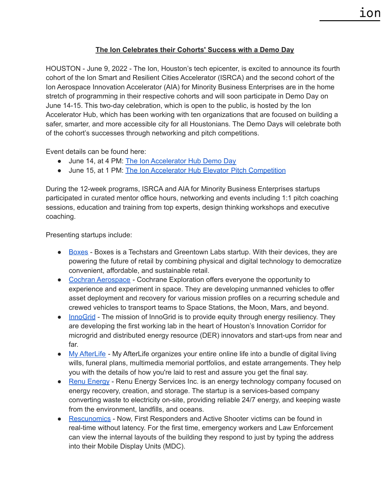## **The Ion Celebrates their Cohorts' Success with a Demo Day**

HOUSTON - June 9, 2022 - The Ion, Houston's tech epicenter, is excited to announce its fourth cohort of the Ion Smart and Resilient Cities Accelerator (ISRCA) and the second cohort of the Ion Aerospace Innovation Accelerator (AIA) for Minority Business Enterprises are in the home stretch of programming in their respective cohorts and will soon participate in Demo Day on June 14-15. This two-day celebration, which is open to the public, is hosted by the Ion Accelerator Hub, which has been working with ten organizations that are focused on building a safer, smarter, and more accessible city for all Houstonians. The Demo Days will celebrate both of the cohort's successes through networking and pitch competitions.

Event details can be found here:

- June 14, at 4 PM: The Ion [Accelerator](https://www.eventbrite.com/e/the-ion-accelerator-hub-demo-day-registration-163081552313) Hub Demo Day
- June 15, at 1 PM: The Ion Accelerator Hub Elevator Pitch [Competition](https://www.eventbrite.com/e/the-ion-accelerator-hub-elevator-pitch-competition-tickets-350706852637)

During the 12-week programs, ISRCA and AIA for Minority Business Enterprises startups participated in curated mentor office hours, networking and events including 1:1 pitch coaching sessions, education and training from top experts, design thinking workshops and executive coaching.

Presenting startups include:

- [Boxes](https://boxesdevices.com/) Boxes is a Techstars and Greentown Labs startup. With their devices, they are powering the future of retail by combining physical and digital technology to democratize convenient, affordable, and sustainable retail.
- Cochran [Aerospace](https://www.cochranex.com/) Cochrane Exploration offers everyone the opportunity to experience and experiment in space. They are developing unmanned vehicles to offer asset deployment and recovery for various mission profiles on a recurring schedule and crewed vehicles to transport teams to Space Stations, the Moon, Mars, and beyond.
- [InnoGrid](https://www.linkedin.com/company/innogrid/about/) The mission of InnoGrid is to provide equity through energy resiliency. They are developing the first working lab in the heart of Houston's Innovation Corridor for microgrid and distributed energy resource (DER) innovators and start-ups from near and far.
- My [AfterLife](https://my-afterlife.com/) My AfterLife organizes your entire online life into a bundle of digital living wills, funeral plans, multimedia memorial portfolios, and estate arrangements. They help you with the details of how you're laid to rest and assure you get the final say.
- Renu [Energy](https://www.renuenergyservices.com/) Renu Energy Services Inc. is an energy technology company focused on energy recovery, creation, and storage. The startup is a services-based company converting waste to electricity on-site, providing reliable 24/7 energy, and keeping waste from the environment, landfills, and oceans.
- [Rescunomics](https://rescunomics.com/) Now, First Responders and Active Shooter victims can be found in real-time without latency. For the first time, emergency workers and Law Enforcement can view the internal layouts of the building they respond to just by typing the address into their Mobile Display Units (MDC).